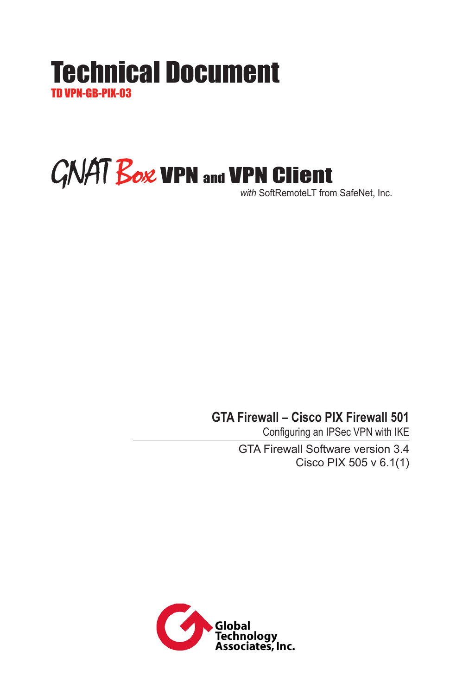# Technical Document TD VPN-GB-PIX-03

# $\mathcal{G}$ NAT  $\mathcal{B}$ *ox* vPN and VPN Client

#### **GTA Firewall – Cisco PIX Firewall 501**

Configuring an IPSec VPN with IKE

GTA Firewall Software version 3.4 Cisco PIX 505 v 6.1(1)

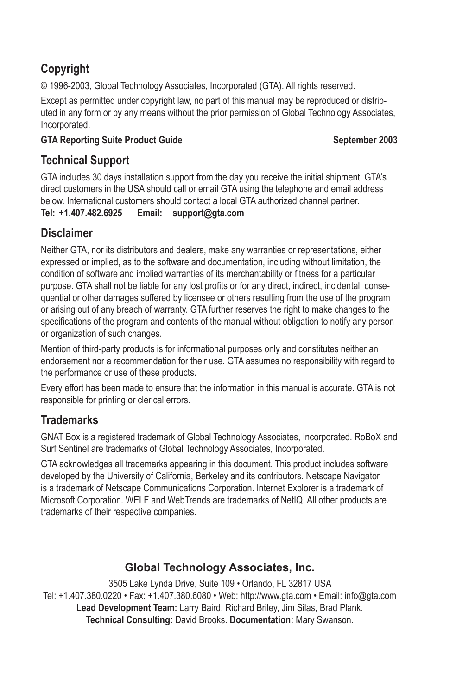## **Copyright**

© 1996-2003, Global Technology Associates, Incorporated (GTA). All rights reserved.

Except as permitted under copyright law, no part of this manual may be reproduced or distributed in any form or by any means without the prior permission of Global Technology Associates, Incorporated.

#### GTA Reporting Suite Product Guide September 2003

#### **Technical Support**

GTA includes 30 days installation support from the day you receive the initial shipment. GTA's direct customers in the USA should call or email GTA using the telephone and email address below. International customers should contact a local GTA authorized channel partner. **Tel: +1.407.482.6925 Email: support@gta.com**

#### **Disclaimer**

Neither GTA, nor its distributors and dealers, make any warranties or representations, either expressed or implied, as to the software and documentation, including without limitation, the condition of software and implied warranties of its merchantability or fitness for a particular purpose. GTA shall not be liable for any lost profits or for any direct, indirect, incidental, consequential or other damages suffered by licensee or others resulting from the use of the program or arising out of any breach of warranty. GTA further reserves the right to make changes to the specifications of the program and contents of the manual without obligation to notify any person or organization of such changes.

Mention of third-party products is for informational purposes only and constitutes neither an endorsement nor a recommendation for their use. GTA assumes no responsibility with regard to the performance or use of these products.

Every effort has been made to ensure that the information in this manual is accurate. GTA is not responsible for printing or clerical errors.

#### **Trademarks**

GNAT Box is a registered trademark of Global Technology Associates, Incorporated. RoBoX and Surf Sentinel are trademarks of Global Technology Associates, Incorporated.

GTA acknowledges all trademarks appearing in this document. This product includes software developed by the University of California, Berkeley and its contributors. Netscape Navigator is a trademark of Netscape Communications Corporation. Internet Explorer is a trademark of Microsoft Corporation. WELF and WebTrends are trademarks of NetIQ. All other products are trademarks of their respective companies.

#### **Global Technology Associates, Inc.**

3505 Lake Lynda Drive, Suite 109 • Orlando, FL 32817 USA Tel: +1.407.380.0220 • Fax: +1.407.380.6080 • Web: http://www.gta.com • Email: info@gta.com **Lead Development Team:** Larry Baird, Richard Briley, Jim Silas, Brad Plank. **Technical Consulting:** David Brooks. **Documentation:** Mary Swanson.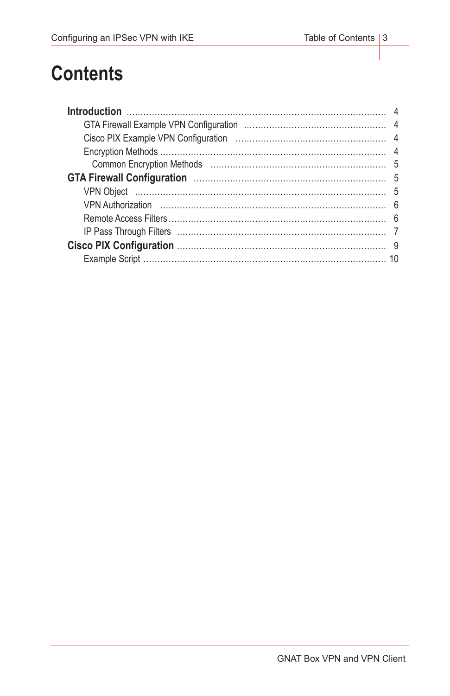# **Contents**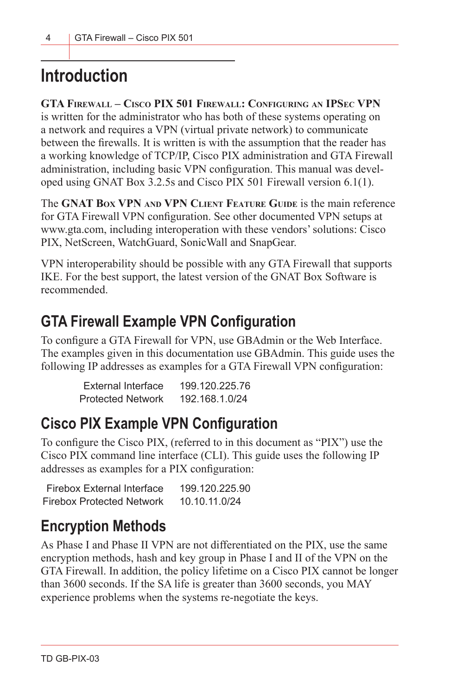# <span id="page-3-0"></span>**Introduction**

**GTA FIREWALL – CISCO PIX 501 FIREWALL: CONFIGURING AN IPSEC VPN** is written for the administrator who has both of these systems operating on a network and requires a VPN (virtual private network) to communicate between the firewalls. It is written is with the assumption that the reader has a working knowledge of TCP/IP, Cisco PIX administration and GTA Firewall administration, including basic VPN configuration. This manual was developed using GNAT Box 3.2.5s and Cisco PIX 501 Firewall version 6.1(1).

The **GNAT BOX VPN AND VPN CLIENT FEATURE GUIDE** is the main reference for GTA Firewall VPN configuration. See other documented VPN setups at www.gta.com, including interoperation with these vendors' solutions: Cisco PIX, NetScreen, WatchGuard, SonicWall and SnapGear.

VPN interoperability should be possible with any GTA Firewall that supports IKE. For the best support, the latest version of the GNAT Box Software is recommended.

# **GTA Firewall Example VPN Configuration**

To configure a GTA Firewall for VPN, use GBAdmin or the Web Interface. The examples given in this documentation use GBAdmin. This guide uses the following IP addresses as examples for a GTA Firewall VPN configuration:

| External Interface       | 199.120.225.76 |
|--------------------------|----------------|
| <b>Protected Network</b> | 192.168.1.0/24 |

# **Cisco PIX Example VPN Configuration**

To configure the Cisco PIX, (referred to in this document as "PIX") use the Cisco PIX command line interface (CLI). This guide uses the following IP addresses as examples for a PIX configuration:

Firebox External Interface 199.120.225.90 Firebox Protected Network 10.10.11.0/24

# **Encryption Methods**

As Phase I and Phase II VPN are not differentiated on the PIX, use the same encryption methods, hash and key group in Phase I and II of the VPN on the GTA Firewall. In addition, the policy lifetime on a Cisco PIX cannot be longer than 3600 seconds. If the SA life is greater than 3600 seconds, you MAY experience problems when the systems re-negotiate the keys.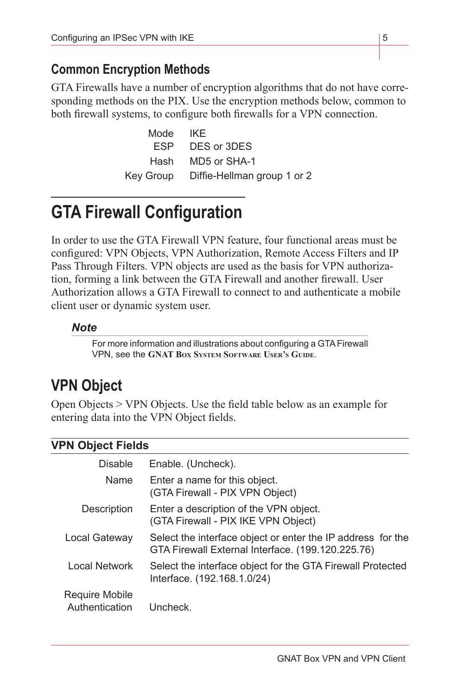### <span id="page-4-0"></span>**Common Encryption Methods**

GTA Firewalls have a number of encryption algorithms that do not have corresponding methods on the PIX. Use the encryption methods below, common to both firewall systems, to configure both firewalls for a VPN connection.

> Mode IKE ESP DES or 3DES Hash MD5 or SHA-1 Key Group Diffie-Hellman group 1 or 2

# **GTA Firewall Configuration**

In order to use the GTA Firewall VPN feature, four functional areas must be configured: VPN Objects, VPN Authorization, Remote Access Filters and IP Pass Through Filters. VPN objects are used as the basis for VPN authorization, forming a link between the GTA Firewall and another firewall. User Authorization allows a GTA Firewall to connect to and authenticate a mobile client user or dynamic system user.

#### *Note*

For more information and illustrations about configuring a GTA Firewall VPN, see the **GNAT BOX SYSTEM SOFTWARE USER'S GUIDE**.

# **VPN Object**

Open Objects > VPN Objects. Use the field table below as an example for entering data into the VPN Object fields.

| <b>VPN Object Fields</b>         |                                                                                                                  |  |
|----------------------------------|------------------------------------------------------------------------------------------------------------------|--|
| <b>Disable</b>                   | Enable. (Uncheck).                                                                                               |  |
| Name                             | Enter a name for this object.<br>(GTA Firewall - PIX VPN Object)                                                 |  |
| Description                      | Enter a description of the VPN object.<br>(GTA Firewall - PIX IKE VPN Object)                                    |  |
| Local Gateway                    | Select the interface object or enter the IP address for the<br>GTA Firewall External Interface. (199.120.225.76) |  |
| Local Network                    | Select the interface object for the GTA Firewall Protected<br>Interface. (192.168.1.0/24)                        |  |
| Require Mobile<br>Authentication | Uncheck.                                                                                                         |  |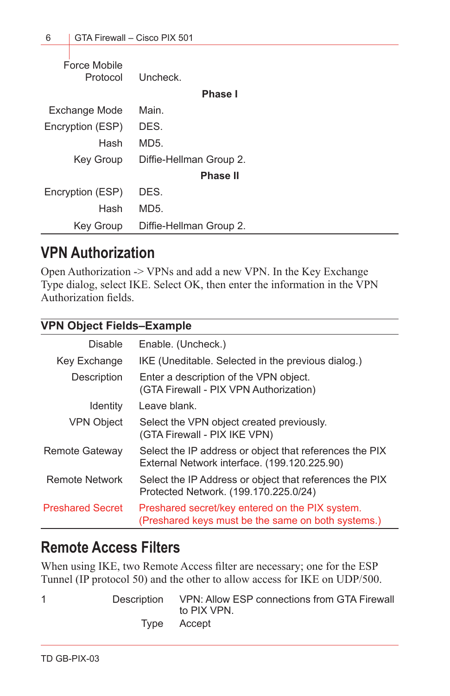<span id="page-5-0"></span>

| Force Mobile<br>Protocol | Uncheck<br><b>Phase I</b> |
|--------------------------|---------------------------|
| Exchange Mode            | Main                      |
| Encryption (ESP)         | DFS.                      |
| Hash                     | MD <sub>5</sub> .         |
| Key Group                | Diffie-Hellman Group 2.   |
|                          | <b>Phase II</b>           |
| Encryption (ESP)         | DFS.                      |
| Hash                     | MD5.                      |
| <b>Key Group</b>         | Diffie-Hellman Group 2.   |

# **VPN Authorization**

Open Authorization -> VPNs and add a new VPN. In the Key Exchange Type dialog, select IKE. Select OK, then enter the information in the VPN Authorization fields.

#### **VPN Object Fields–Example**

| <b>Disable</b>          | Enable. (Uncheck.)                                                                                      |
|-------------------------|---------------------------------------------------------------------------------------------------------|
| Key Exchange            | IKE (Uneditable. Selected in the previous dialog.)                                                      |
| Description             | Enter a description of the VPN object.<br>(GTA Firewall - PIX VPN Authorization)                        |
| <b>Identity</b>         | Leave blank.                                                                                            |
| <b>VPN Object</b>       | Select the VPN object created previously.<br>(GTA Firewall - PIX IKE VPN)                               |
| Remote Gateway          | Select the IP address or object that references the PIX<br>External Network interface. (199.120.225.90) |
| Remote Network          | Select the IP Address or object that references the PIX<br>Protected Network. (199.170.225.0/24)        |
| <b>Preshared Secret</b> | Preshared secret/key entered on the PIX system.<br>(Preshared keys must be the same on both systems.)   |

# **Remote Access Filters**

When using IKE, two Remote Access filter are necessary; one for the ESP Tunnel (IP protocol 50) and the other to allow access for IKE on UDP/500.

|  | Description VPN: Allow ESP connections from GTA Firewall<br>to PIX VPN. |
|--|-------------------------------------------------------------------------|
|  | Type Accept                                                             |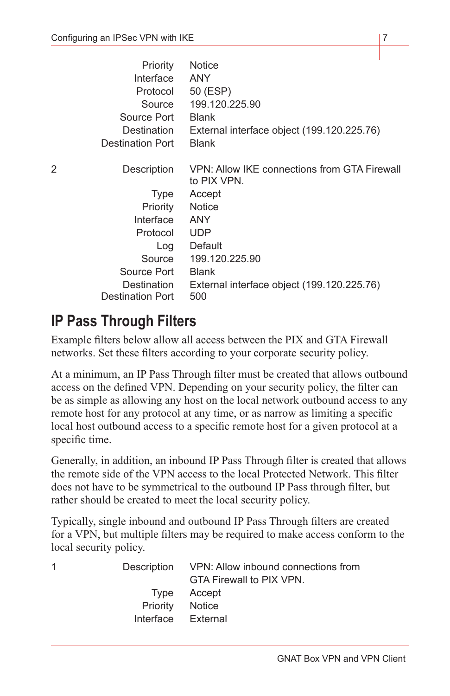<span id="page-6-0"></span>

|   | Priority                | <b>Notice</b>                                               |
|---|-------------------------|-------------------------------------------------------------|
|   | Interface               | <b>ANY</b>                                                  |
|   | Protocol                | 50 (ESP)                                                    |
|   | Source                  | 199.120.225.90                                              |
|   | Source Port             | <b>Blank</b>                                                |
|   | Destination             | External interface object (199.120.225.76)                  |
|   | <b>Destination Port</b> | <b>Blank</b>                                                |
| 2 | Description             | VPN: Allow IKE connections from GTA Firewall<br>to PIX VPN. |
|   | Type                    | Accept                                                      |
|   | Priority                | <b>Notice</b>                                               |
|   | Interface               | <b>ANY</b>                                                  |
|   | Protocol                | <b>UDP</b>                                                  |
|   | Log                     | Default                                                     |
|   | Source                  | 199.120.225.90                                              |
|   | Source Port             | <b>Blank</b>                                                |
|   | Destination             | External interface object (199.120.225.76)                  |
|   | <b>Destination Port</b> | 500                                                         |

# **IP Pass Through Filters**

Example filters below allow all access between the PIX and GTA Firewall networks. Set these filters according to your corporate security policy.

At a minimum, an IP Pass Through filter must be created that allows outbound access on the defined VPN. Depending on your security policy, the filter can be as simple as allowing any host on the local network outbound access to any remote host for any protocol at any time, or as narrow as limiting a specific local host outbound access to a specific remote host for a given protocol at a specific time.

Generally, in addition, an inbound IP Pass Through filter is created that allows the remote side of the VPN access to the local Protected Network. This filter does not have to be symmetrical to the outbound IP Pass through filter, but rather should be created to meet the local security policy.

Typically, single inbound and outbound IP Pass Through filters are created for a VPN, but multiple filters may be required to make access conform to the local security policy.

1 Description VPN: Allow inbound connections from GTA Firewall to PIX VPN. Type Accept Priority Notice Interface External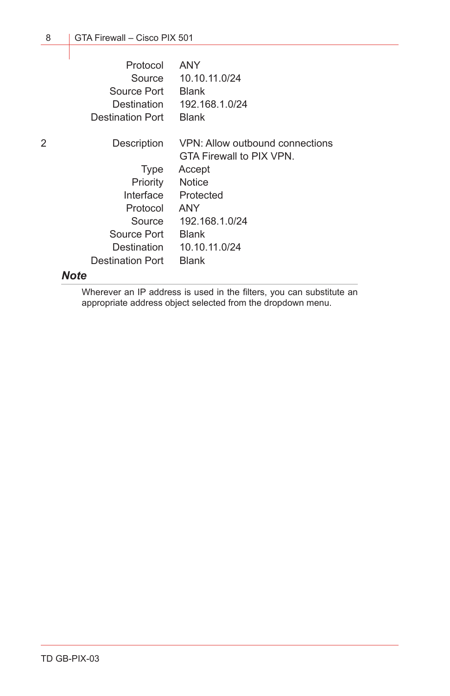|   | Protocol                | ANY                                                         |
|---|-------------------------|-------------------------------------------------------------|
|   | Source                  | 10.10.11.0/24                                               |
|   | Source Port             | <b>Blank</b>                                                |
|   | Destination             | 192.168.1.0/24                                              |
|   | <b>Destination Port</b> | <b>Blank</b>                                                |
| 2 | Description             | VPN: Allow outbound connections<br>GTA Firewall to PIX VPN. |
|   | Type                    | Accept                                                      |
|   | Priority                | <b>Notice</b>                                               |
|   | Interface               | Protected                                                   |
|   | Protocol                | ANY                                                         |
|   | Source                  | 192.168.1.0/24                                              |
|   | Source Port             | <b>Blank</b>                                                |
|   | Destination             | 10.10.11.0/24                                               |
|   | <b>Destination Port</b> | <b>Blank</b>                                                |

#### *Note*

Wherever an IP address is used in the filters, you can substitute an appropriate address object selected from the dropdown menu.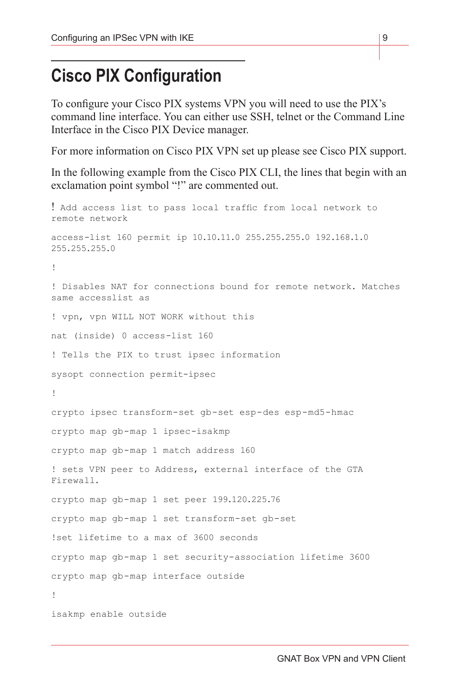# <span id="page-8-0"></span>**Cisco PIX Configuration**

To configure your Cisco PIX systems VPN you will need to use the PIX's command line interface. You can either use SSH, telnet or the Command Line Interface in the Cisco PIX Device manager.

For more information on Cisco PIX VPN set up please see Cisco PIX support.

In the following example from the Cisco PIX CLI, the lines that begin with an exclamation point symbol "!" are commented out.

```
! Add access list to pass local traffic from local network to 
remote network
access-list 160 permit ip 10.10.11.0 255.255.255.0 192.168.1.0 
255.255.255.0
!
! Disables NAT for connections bound for remote network. Matches 
same accesslist as
! vpn, vpn WILL NOT WORK without this
nat (inside) 0 access-list 160
! Tells the PIX to trust ipsec information
sysopt connection permit-ipsec
!
crypto ipsec transform-set gb-set esp-des esp-md5-hmac
crypto map gb-map 1 ipsec-isakmp
crypto map gb-map 1 match address 160
! sets VPN peer to Address, external interface of the GTA 
Firewall.
crypto map gb-map 1 set peer 199.120.225.76
crypto map gb-map 1 set transform-set gb-set
!set lifetime to a max of 3600 seconds
crypto map gb-map 1 set security-association lifetime 3600
crypto map gb-map interface outside
!
isakmp enable outside
```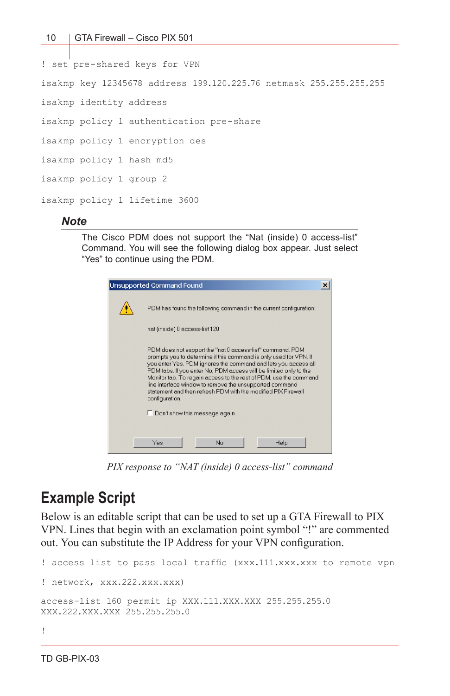```
! set pre-shared keys for VPN
isakmp key 12345678 address 199.120.225.76 netmask 255.255.255.255
isakmp identity address
isakmp policy 1 authentication pre-share
isakmp policy 1 encryption des
isakmp policy 1 hash md5
isakmp policy 1 group 2
isakmp policy 1 lifetime 3600
```
#### *Note*

The Cisco PDM does not support the "Nat (inside) 0 access-list" Command. You will see the following dialog box appear. Just select "Yes" to continue using the PDM.



*PIX response to "NAT (inside) 0 access-list" command*

#### **Example Script**

Below is an editable script that can be used to set up a GTA Firewall to PIX VPN. Lines that begin with an exclamation point symbol "!" are commented out. You can substitute the IP Address for your VPN configuration.

```
! access list to pass local traffic (xxx.111.xxx.xxx to remote vpn
! network, xxx.222.xxx.xxx)
access-list 160 permit ip XXX.111.XXX.XXX 255.255.255.0 
XXX.222.XXX.XXX 255.255.255.0
!
```